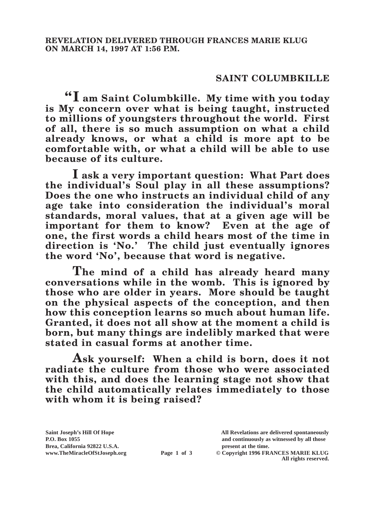## **SAINT COLUMBKILLE**

**"I am Saint Columbkille. My time with you today is My concern over what is being taught, instructed to millions of youngsters throughout the world. First of all, there is so much assumption on what a child already knows, or what a child is more apt to be comfortable with, or what a child will be able to use because of its culture.**

**I ask a very important question: What Part does the individual's Soul play in all these assumptions? Does the one who instructs an individual child of any age take into consideration the individual's moral standards, moral values, that at a given age will be important for them to know? Even at the age of one, the first words a child hears most of the time in direction is 'No.' The child just eventually ignores the word 'No', because that word is negative.**

**The mind of a child has already heard many conversations while in the womb. This is ignored by those who are older in years. More should be taught on the physical aspects of the conception, and then how this conception learns so much about human life. Granted, it does not all show at the moment a child is born, but many things are indelibly marked that were stated in casual forms at another time.**

**Ask yourself: When a child is born, does it not radiate the culture from those who were associated with this, and does the learning stage not show that the child automatically relates immediately to those with whom it is being raised?**

**Saint Joseph's Hill Of Hope All Revelations are delivered spontaneously P.O. Box 1055 and continuously as witnessed by all those** 

**Page 1 of 3** © Copyright 1996 FRANCES MARIE KLUG **All rights reserved.**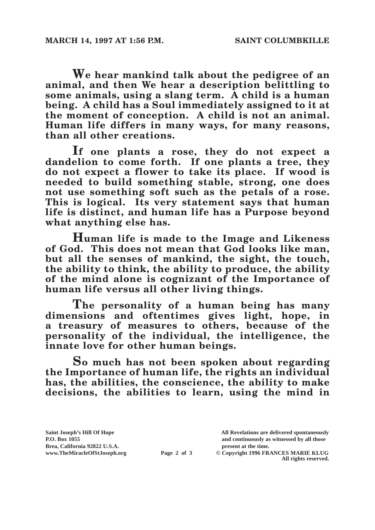**We hear mankind talk about the pedigree of an animal, and then We hear a description belittling to some animals, using a slang term. A child is a human being. A child has a Soul immediately assigned to it at the moment of conception. A child is not an animal. Human life differs in many ways, for many reasons, than all other creations.**

**If one plants a rose, they do not expect a dandelion to come forth. If one plants a tree, they do not expect a flower to take its place. If wood is needed to build something stable, strong, one does not use something soft such as the petals of a rose. This is logical. Its very statement says that human life is distinct, and human life has a Purpose beyond what anything else has.**

**Human life is made to the Image and Likeness of God. This does not mean that God looks like man, but all the senses of mankind, the sight, the touch, the ability to think, the ability to produce, the ability of the mind alone is cognizant of the Importance of human life versus all other living things.**

**The personality of a human being has many dimensions and oftentimes gives light, hope, in a treasury of measures to others, because of the personality of the individual, the intelligence, the innate love for other human beings.**

**So much has not been spoken about regarding the Importance of human life, the rights an individual has, the abilities, the conscience, the ability to make decisions, the abilities to learn, using the mind in** 

Brea, California 92822 U.S.A.<br>
www.TheMiracleOfStJoseph.org<br> **Page 2 of 3** © Copyright 1996 FR.

**Saint Joseph's Hill Of Hope All Revelations are delivered spontaneously P.O. Box 1055 and continuously as witnessed by all those** 

**Page 2 of 3** © Copyright 1996 FRANCES MARIE KLUG **All rights reserved.**